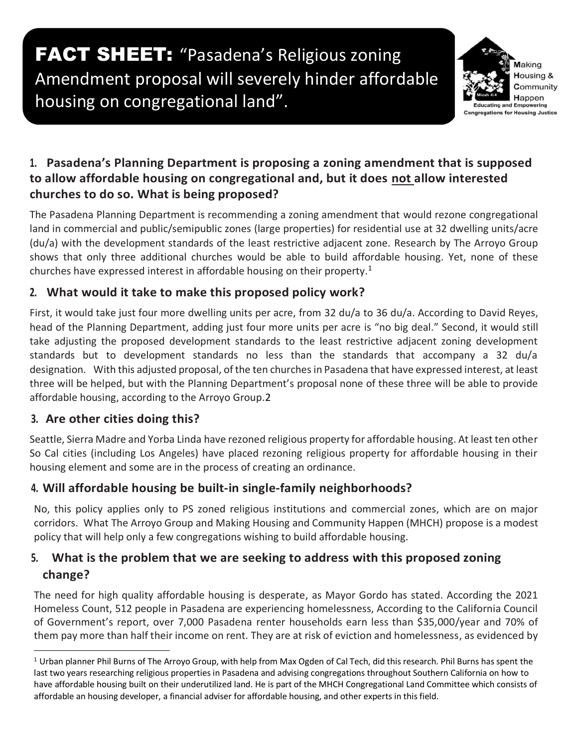# FACT SHEET: "Pasadena's Religious zoning Amendment proposal will severely hinder affordable housing on congregational land".



#### **1. Pasadena's Planning Department is proposing a zoning amendment that is supposed to allow affordable housing on congregational and, but it does not allow interested churches to do so. What is being proposed?**

The Pasadena Planning Department is recommending a zoning amendment that would rezone congregational land in commercial and public/semipublic zones (large properties) for residential use at 32 dwelling units/acre (du/a) with the development standards of the least restrictive adjacent zone. Research by The Arroyo Group shows that only three additional churches would be able to build affordable housing. Yet, none of these churches have expressed interest in affordable housing on their property.<sup>1</sup>

## **2. What would it take to make this proposed policy work?**

First, it would take just four more dwelling units per acre, from 32 du/a to 36 du/a. According to David Reyes, head of the Planning Department, adding just four more units per acre is "no big deal." Second, it would still take adjusting the proposed development standards to the least restrictive adjacent zoning development standards but to development standards no less than the standards that accompany a 32 du/a designation. With this adjusted proposal, of the ten churches in Pasadena that have expressed interest, at least three will be helped, but with the Planning Department's proposal none of these three will be able to provide affordable housing, according to the Arroyo Group.2

## **3. Are other cities doing this?**

Seattle, Sierra Madre and Yorba Linda have rezoned religious property for affordable housing. At least ten other So Cal cities (including Los Angeles) have placed rezoning religious property for affordable housing in their housing element and some are in the process of creating an ordinance.

## **4. Will affordable housing be built-in single-family neighborhoods?**

No, this policy applies only to PS zoned religious institutions and commercial zones, which are on major corridors. What The Arroyo Group and Making Housing and Community Happen (MHCH) propose is a modest policy that will help only a few congregations wishing to build affordable housing.

## **5. What is the problem that we are seeking to address with this proposed zoning change?**

The need for high quality affordable housing is desperate, as Mayor Gordo has stated. According the 2021 Homeless Count, 512 people in Pasadena are experiencing homelessness, According to the California Council of Government's report, over 7,000 Pasadena renter households earn less than \$35,000/year and 70% of them pay more than half their income on rent. They are at risk of eviction and homelessness, as evidenced by

 $1$  Urban planner Phil Burns of The Arroyo Group, with help from Max Ogden of Cal Tech, did this research. Phil Burns has spent the last two years researching religious properties in Pasadena and advising congregations throughout Southern California on how to have affordable housing built on their underutilized land. He is part of the MHCH Congregational Land Committee which consists of affordable an housing developer, a financial adviser for affordable housing, and other experts in this field.